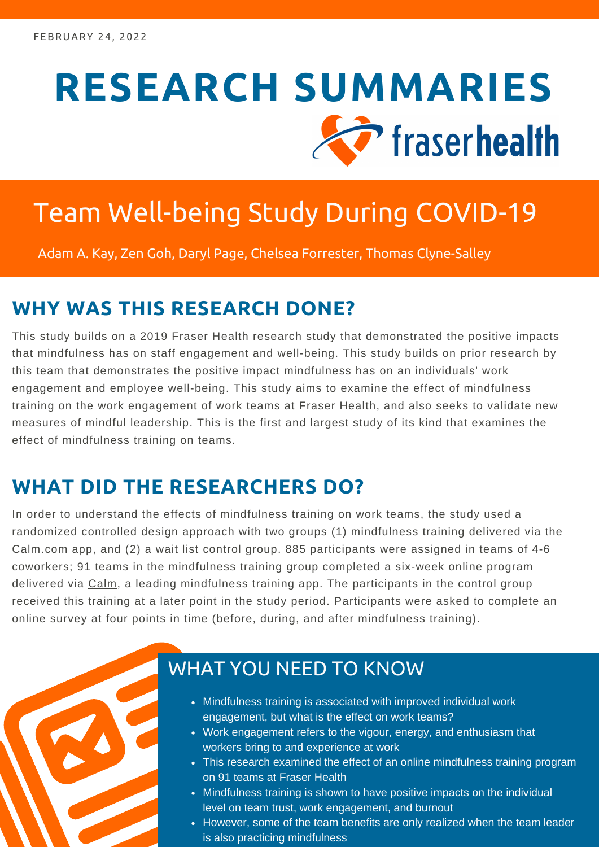# **RESEARCH SUMMARIES** The fraser health

# Team Well-being Study During COVID-19

Adam A. Kay, Zen Goh, Daryl Page, Chelsea Forrester, Thomas Clyne-Salley

#### **WHY WAS THIS RESEARCH DONE?**

This study builds on a 2019 Fraser Health research study that demonstrated the positive impacts that mindfulness has on staff engagement and well-being. This study builds on prior research by this team that demonstrates the positive impact mindfulness has on an individuals' work engagement and employee well-being. This study aims to examine the effect of mindfulness training on the work engagement of work teams at Fraser Health, and also seeks to validate new measures of mindful leadership. This is the first and largest study of its kind that examines the effect of mindfulness training on teams.

#### **WHAT DID THE RESEARCHERS DO?**

In order to understand the effects of mindfulness training on work teams, the study used a randomized controlled design approach with two groups (1) mindfulness training delivered via the Calm.com app, and (2) a wait list control group. 885 participants were assigned in teams of 4-6 coworkers; 91 teams in the mindfulness training group completed a six-week online program delivered via [Calm](https://www.calm.com/), a leading mindfulness training app. The participants in the control group received this training at a later point in the study period. Participants were asked to complete an online survey at four points in time (before, during, and after mindfulness training).



#### WHAT YOU NEED TO KNOW

- Mindfulness training is associated with improved individual work engagement, but what is the effect on work teams?
- Work engagement refers to the vigour, energy, and enthusiasm that workers bring to and experience at work
- This research examined the effect of an online mindfulness training program on 91 teams at Fraser Health
- Mindfulness training is shown to have positive impacts on the individual level on team trust, work engagement, and burnout
- However, some of the team benefits are only realized when the team leader is also practicing mindfulness